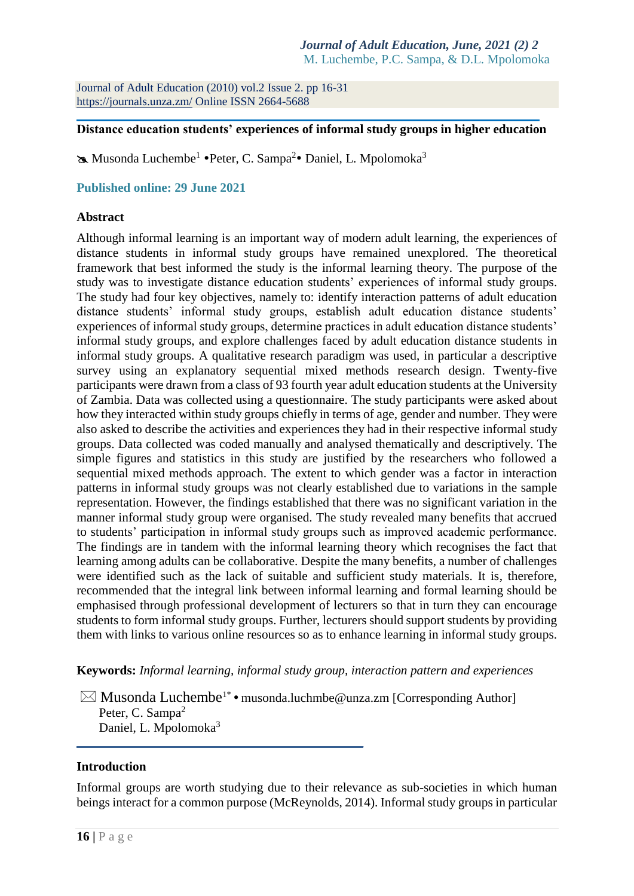Journal of Adult Education (2010) vol.2 Issue 2. pp 16-31 <https://journals.unza.zm/> Online ISSN 2664-5688

#### **\_\_\_\_\_\_\_\_\_\_\_\_\_\_\_\_\_\_\_\_\_\_\_\_\_\_\_\_\_\_\_\_\_\_\_\_\_\_\_\_\_\_\_\_\_\_\_\_\_\_\_\_\_\_\_\_\_\_\_\_\_\_\_\_\_\_\_\_\_\_\_\_\_\_\_\_\_\_\_ Distance education students' experiences of informal study groups in higher education**

**EXA** Musonda Luchembe<sup>1</sup> • Peter, C. Sampa<sup>2</sup> • Daniel, L. Mpolomoka<sup>3</sup>

## **Published online: 29 June 2021**

#### **Abstract**

Although informal learning is an important way of modern adult learning, the experiences of distance students in informal study groups have remained unexplored. The theoretical framework that best informed the study is the informal learning theory. The purpose of the study was to investigate distance education students' experiences of informal study groups. The study had four key objectives, namely to: identify interaction patterns of adult education distance students' informal study groups, establish adult education distance students' experiences of informal study groups, determine practices in adult education distance students' informal study groups, and explore challenges faced by adult education distance students in informal study groups. A qualitative research paradigm was used, in particular a descriptive survey using an explanatory sequential mixed methods research design. Twenty-five participants were drawn from a class of 93 fourth year adult education students at the University of Zambia. Data was collected using a questionnaire. The study participants were asked about how they interacted within study groups chiefly in terms of age, gender and number. They were also asked to describe the activities and experiences they had in their respective informal study groups. Data collected was coded manually and analysed thematically and descriptively. The simple figures and statistics in this study are justified by the researchers who followed a sequential mixed methods approach. The extent to which gender was a factor in interaction patterns in informal study groups was not clearly established due to variations in the sample representation. However, the findings established that there was no significant variation in the manner informal study group were organised. The study revealed many benefits that accrued to students' participation in informal study groups such as improved academic performance. The findings are in tandem with the informal learning theory which recognises the fact that learning among adults can be collaborative. Despite the many benefits, a number of challenges were identified such as the lack of suitable and sufficient study materials. It is, therefore, recommended that the integral link between informal learning and formal learning should be emphasised through professional development of lecturers so that in turn they can encourage students to form informal study groups. Further, lecturers should support students by providing them with links to various online resources so as to enhance learning in informal study groups.

**Keywords:** *Informal learning, informal study group, interaction pattern and experiences*

 $\boxtimes$  Musonda Luchembe<sup>1\*</sup> • [musonda.luchmbe@unza.zm](mailto:musonda.luchmbe@unza.zm) [Corresponding Author] Peter, C. Sampa<sup>2</sup> Daniel, L. Mpolomoka<sup>3</sup>

**\_\_\_\_\_\_\_\_\_\_\_\_\_\_\_\_\_\_\_\_\_\_\_\_\_\_\_\_\_\_\_\_\_\_\_\_\_\_\_\_\_\_\_\_\_\_\_\_\_**

#### **Introduction**

Informal groups are worth studying due to their relevance as sub-societies in which human beings interact for a common purpose (McReynolds, 2014). Informal study groups in particular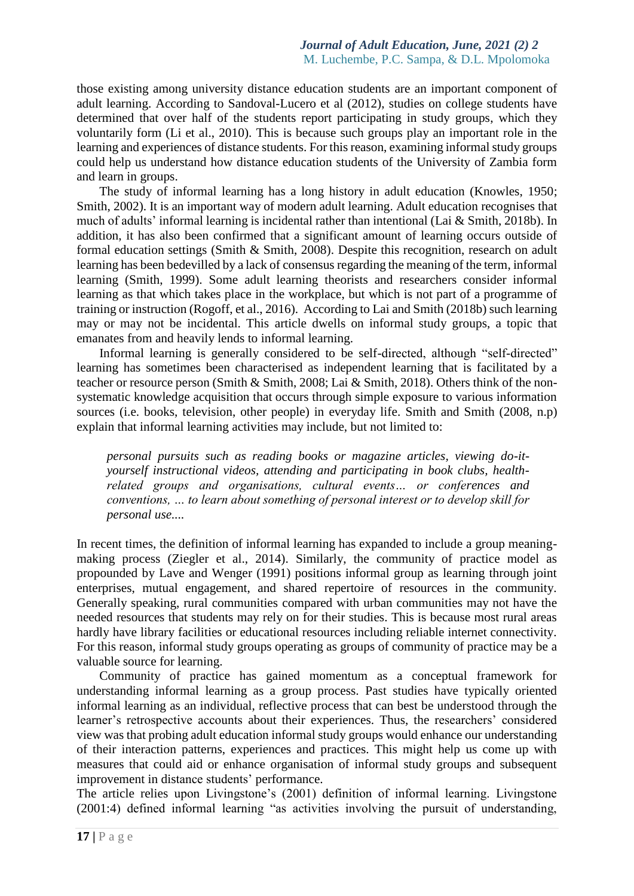those existing among university distance education students are an important component of adult learning. According to Sandoval-Lucero et al (2012), studies on college students have determined that over half of the students report participating in study groups, which they voluntarily form (Li et al., 2010). This is because such groups play an important role in the learning and experiences of distance students. For this reason, examining informal study groups could help us understand how distance education students of the University of Zambia form and learn in groups.

The study of informal learning has a long history in adult education (Knowles, 1950; Smith, 2002). It is an important way of modern adult learning. Adult education recognises that much of adults' informal learning is incidental rather than intentional (Lai & Smith, 2018b). In addition, it has also been confirmed that a significant amount of learning occurs outside of formal education settings (Smith & Smith, 2008). Despite this recognition, research on adult learning has been bedevilled by a lack of consensus regarding the meaning of the term, informal learning (Smith, 1999). Some adult learning theorists and researchers consider informal learning as that which takes place in the workplace, but which is not part of a programme of training or instruction (Rogoff, et al., 2016). According to Lai and Smith (2018b) such learning may or may not be incidental. This article dwells on informal study groups, a topic that emanates from and heavily lends to informal learning.

Informal learning is generally considered to be self-directed, although "self-directed" learning has sometimes been characterised as independent learning that is facilitated by a teacher or resource person (Smith & Smith, 2008; Lai & Smith, 2018). Others think of the nonsystematic knowledge acquisition that occurs through simple exposure to various information sources (i.e. books, television, other people) in everyday life. Smith and Smith (2008, n.p) explain that informal learning activities may include, but not limited to:

*personal pursuits such as reading books or magazine articles, viewing do-ityourself instructional videos, attending and participating in book clubs, healthrelated groups and organisations, cultural events… or conferences and conventions, … to learn about something of personal interest or to develop skill for personal use....*

In recent times, the definition of informal learning has expanded to include a group meaningmaking process (Ziegler et al., 2014). Similarly, the community of practice model as propounded by Lave and Wenger (1991) positions informal group as learning through joint enterprises, mutual engagement, and shared repertoire of resources in the community. Generally speaking, rural communities compared with urban communities may not have the needed resources that students may rely on for their studies. This is because most rural areas hardly have library facilities or educational resources including reliable internet connectivity. For this reason, informal study groups operating as groups of community of practice may be a valuable source for learning.

Community of practice has gained momentum as a conceptual framework for understanding informal learning as a group process. Past studies have typically oriented informal learning as an individual, reflective process that can best be understood through the learner's retrospective accounts about their experiences. Thus, the researchers' considered view was that probing adult education informal study groups would enhance our understanding of their interaction patterns, experiences and practices. This might help us come up with measures that could aid or enhance organisation of informal study groups and subsequent improvement in distance students' performance.

The article relies upon Livingstone's (2001) definition of informal learning. Livingstone (2001:4) defined informal learning "as activities involving the pursuit of understanding,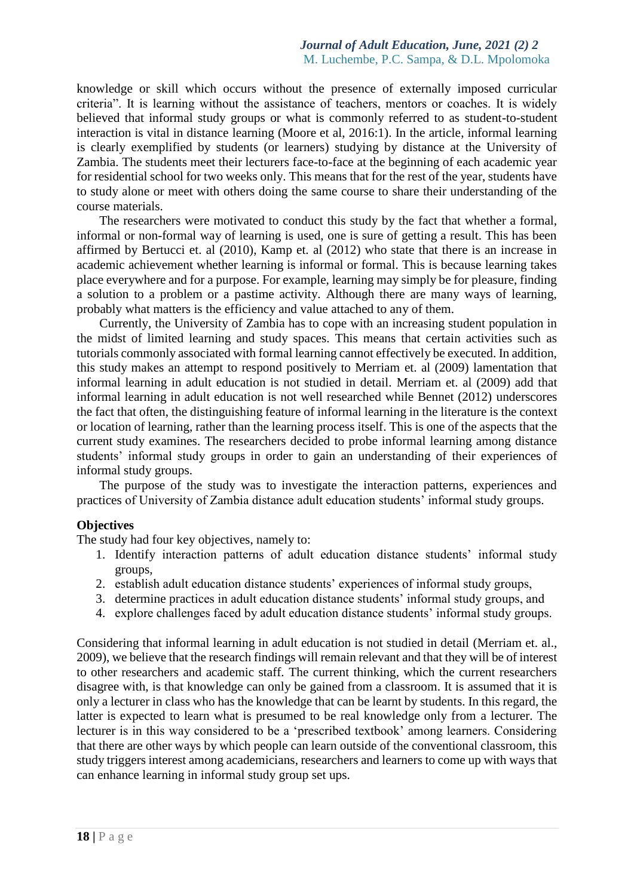knowledge or skill which occurs without the presence of externally imposed curricular criteria". It is learning without the assistance of teachers, mentors or coaches. It is widely believed that informal study groups or what is commonly referred to as student-to-student interaction is vital in distance learning (Moore et al, 2016:1). In the article, informal learning is clearly exemplified by students (or learners) studying by distance at the University of Zambia. The students meet their lecturers face-to-face at the beginning of each academic year for residential school for two weeks only. This means that for the rest of the year, students have to study alone or meet with others doing the same course to share their understanding of the course materials.

The researchers were motivated to conduct this study by the fact that whether a formal, informal or non-formal way of learning is used, one is sure of getting a result. This has been affirmed by Bertucci et. al (2010), Kamp et. al (2012) who state that there is an increase in academic achievement whether learning is informal or formal. This is because learning takes place everywhere and for a purpose. For example, learning may simply be for pleasure, finding a solution to a problem or a pastime activity. Although there are many ways of learning, probably what matters is the efficiency and value attached to any of them.

Currently, the University of Zambia has to cope with an increasing student population in the midst of limited learning and study spaces. This means that certain activities such as tutorials commonly associated with formal learning cannot effectively be executed. In addition, this study makes an attempt to respond positively to Merriam et. al (2009) lamentation that informal learning in adult education is not studied in detail. Merriam et. al (2009) add that informal learning in adult education is not well researched while Bennet (2012) underscores the fact that often, the distinguishing feature of informal learning in the literature is the context or location of learning, rather than the learning process itself. This is one of the aspects that the current study examines. The researchers decided to probe informal learning among distance students' informal study groups in order to gain an understanding of their experiences of informal study groups.

The purpose of the study was to investigate the interaction patterns, experiences and practices of University of Zambia distance adult education students' informal study groups.

#### **Objectives**

The study had four key objectives, namely to:

- 1. Identify interaction patterns of adult education distance students' informal study groups,
- 2. establish adult education distance students' experiences of informal study groups,
- 3. determine practices in adult education distance students' informal study groups, and
- 4. explore challenges faced by adult education distance students' informal study groups.

Considering that informal learning in adult education is not studied in detail (Merriam et. al., 2009), we believe that the research findings will remain relevant and that they will be of interest to other researchers and academic staff. The current thinking, which the current researchers disagree with, is that knowledge can only be gained from a classroom. It is assumed that it is only a lecturer in class who has the knowledge that can be learnt by students. In this regard, the latter is expected to learn what is presumed to be real knowledge only from a lecturer. The lecturer is in this way considered to be a 'prescribed textbook' among learners. Considering that there are other ways by which people can learn outside of the conventional classroom, this study triggers interest among academicians, researchers and learners to come up with ways that can enhance learning in informal study group set ups.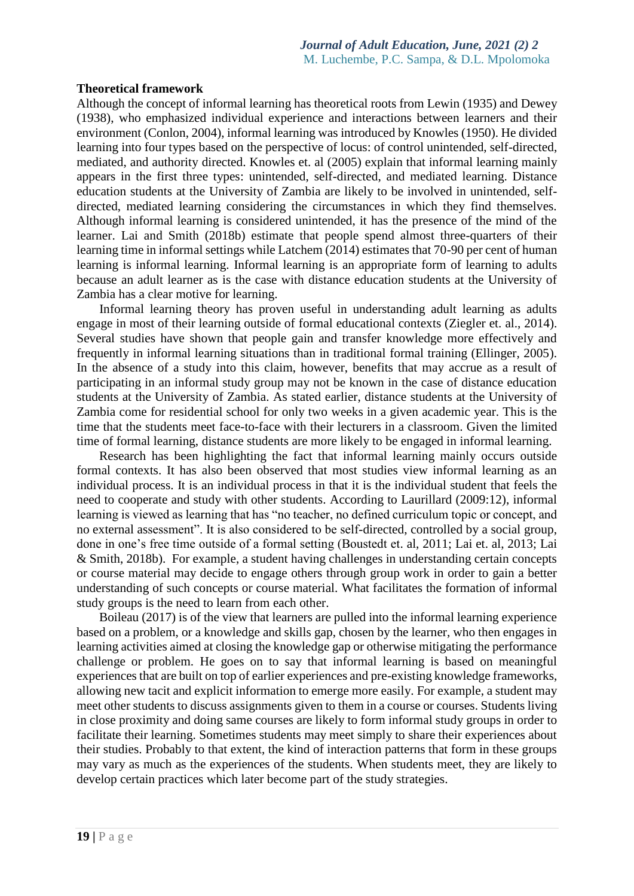#### **Theoretical framework**

Although the concept of informal learning has theoretical roots from Lewin (1935) and Dewey (1938), who emphasized individual experience and interactions between learners and their environment (Conlon, 2004), informal learning was introduced by Knowles (1950). He divided learning into four types based on the perspective of locus: of control unintended, self-directed, mediated, and authority directed. Knowles et. al (2005) explain that informal learning mainly appears in the first three types: unintended, self-directed, and mediated learning. Distance education students at the University of Zambia are likely to be involved in unintended, selfdirected, mediated learning considering the circumstances in which they find themselves. Although informal learning is considered unintended, it has the presence of the mind of the learner. Lai and Smith (2018b) estimate that people spend almost three-quarters of their learning time in informal settings while Latchem (2014) estimates that 70-90 per cent of human learning is informal learning. Informal learning is an appropriate form of learning to adults because an adult learner as is the case with distance education students at the University of Zambia has a clear motive for learning.

Informal learning theory has proven useful in understanding adult learning as adults engage in most of their learning outside of formal educational contexts (Ziegler et. al., 2014). Several studies have shown that people gain and transfer knowledge more effectively and frequently in informal learning situations than in traditional formal training (Ellinger, 2005). In the absence of a study into this claim, however, benefits that may accrue as a result of participating in an informal study group may not be known in the case of distance education students at the University of Zambia. As stated earlier, distance students at the University of Zambia come for residential school for only two weeks in a given academic year. This is the time that the students meet face-to-face with their lecturers in a classroom. Given the limited time of formal learning, distance students are more likely to be engaged in informal learning.

Research has been highlighting the fact that informal learning mainly occurs outside formal contexts. It has also been observed that most studies view informal learning as an individual process. It is an individual process in that it is the individual student that feels the need to cooperate and study with other students. According to Laurillard (2009:12), informal learning is viewed as learning that has "no teacher, no defined curriculum topic or concept, and no external assessment". It is also considered to be self-directed, controlled by a social group, done in one's free time outside of a formal setting (Boustedt et. al, 2011; Lai et. al, 2013; Lai & Smith, 2018b). For example, a student having challenges in understanding certain concepts or course material may decide to engage others through group work in order to gain a better understanding of such concepts or course material. What facilitates the formation of informal study groups is the need to learn from each other.

Boileau (2017) is of the view that learners are pulled into the informal learning experience based on a problem, or a knowledge and skills gap, chosen by the learner, who then engages in learning activities aimed at closing the knowledge gap or otherwise mitigating the performance challenge or problem. He goes on to say that informal learning is based on meaningful experiences that are built on top of earlier experiences and pre-existing knowledge frameworks, allowing new tacit and explicit information to emerge more easily. For example, a student may meet other students to discuss assignments given to them in a course or courses. Students living in close proximity and doing same courses are likely to form informal study groups in order to facilitate their learning. Sometimes students may meet simply to share their experiences about their studies. Probably to that extent, the kind of interaction patterns that form in these groups may vary as much as the experiences of the students. When students meet, they are likely to develop certain practices which later become part of the study strategies.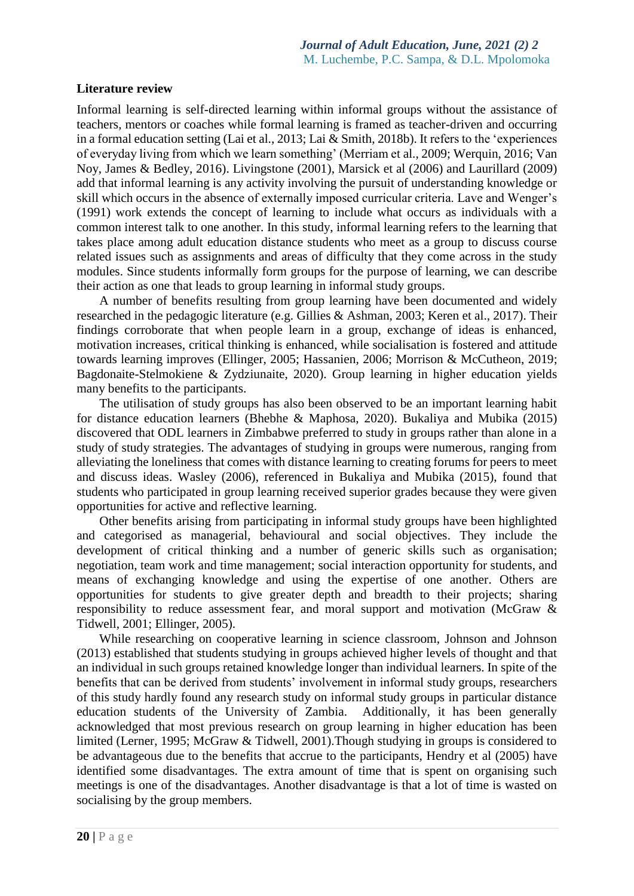# **Literature review**

Informal learning is self-directed learning within informal groups without the assistance of teachers, mentors or coaches while formal learning is framed as teacher-driven and occurring in a formal education setting (Lai et al., 2013; Lai & Smith, 2018b). It refers to the 'experiences of everyday living from which we learn something' (Merriam et al., 2009; Werquin, 2016; Van Noy, James & Bedley, 2016). Livingstone (2001), Marsick et al (2006) and Laurillard (2009) add that informal learning is any activity involving the pursuit of understanding knowledge or skill which occurs in the absence of externally imposed curricular criteria. Lave and Wenger's (1991) work extends the concept of learning to include what occurs as individuals with a common interest talk to one another. In this study, informal learning refers to the learning that takes place among adult education distance students who meet as a group to discuss course related issues such as assignments and areas of difficulty that they come across in the study modules. Since students informally form groups for the purpose of learning, we can describe their action as one that leads to group learning in informal study groups.

A number of benefits resulting from group learning have been documented and widely researched in the pedagogic literature (e.g. Gillies & Ashman, 2003; Keren et al., 2017). Their findings corroborate that when people learn in a group, exchange of ideas is enhanced, motivation increases, critical thinking is enhanced, while socialisation is fostered and attitude towards learning improves (Ellinger, 2005; Hassanien, 2006; Morrison & McCutheon, 2019; Bagdonaite-Stelmokiene & Zydziunaite, 2020). Group learning in higher education yields many benefits to the participants.

The utilisation of study groups has also been observed to be an important learning habit for distance education learners (Bhebhe & Maphosa, 2020). Bukaliya and Mubika (2015) discovered that ODL learners in Zimbabwe preferred to study in groups rather than alone in a study of study strategies. The advantages of studying in groups were numerous, ranging from alleviating the loneliness that comes with distance learning to creating forums for peers to meet and discuss ideas. Wasley (2006), referenced in Bukaliya and Mubika (2015), found that students who participated in group learning received superior grades because they were given opportunities for active and reflective learning.

Other benefits arising from participating in informal study groups have been highlighted and categorised as managerial, behavioural and social objectives. They include the development of critical thinking and a number of generic skills such as organisation; negotiation, team work and time management; social interaction opportunity for students, and means of exchanging knowledge and using the expertise of one another. Others are opportunities for students to give greater depth and breadth to their projects; sharing responsibility to reduce assessment fear, and moral support and motivation (McGraw & Tidwell, 2001; Ellinger, 2005).

While researching on cooperative learning in science classroom, Johnson and Johnson (2013) established that students studying in groups achieved higher levels of thought and that an individual in such groups retained knowledge longer than individual learners. In spite of the benefits that can be derived from students' involvement in informal study groups, researchers of this study hardly found any research study on informal study groups in particular distance education students of the University of Zambia. Additionally, it has been generally acknowledged that most previous research on group learning in higher education has been limited (Lerner, 1995; McGraw & Tidwell, 2001).Though studying in groups is considered to be advantageous due to the benefits that accrue to the participants, Hendry et al (2005) have identified some disadvantages. The extra amount of time that is spent on organising such meetings is one of the disadvantages. Another disadvantage is that a lot of time is wasted on socialising by the group members.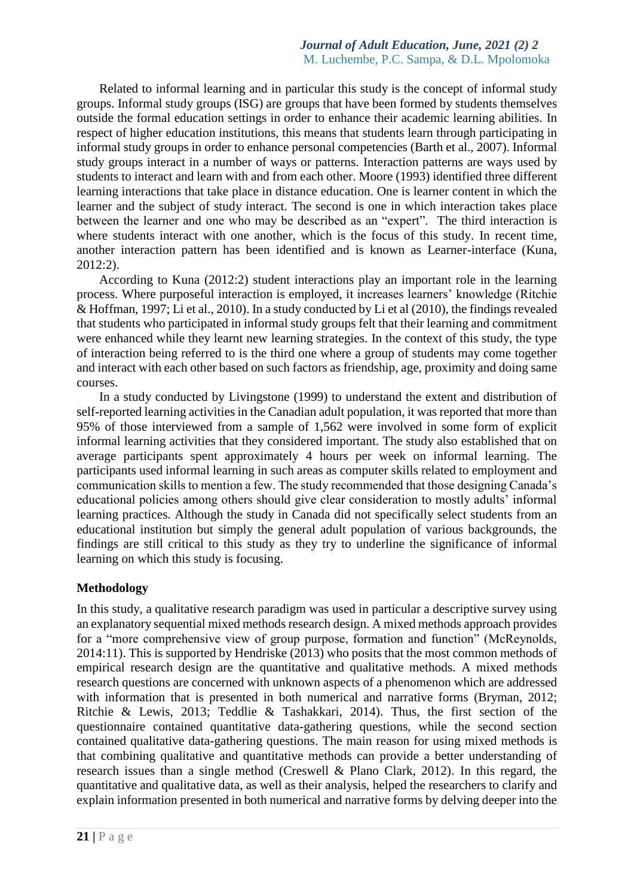Related to informal learning and in particular this study is the concept of informal study groups. Informal study groups (ISG) are groups that have been formed by students themselves outside the formal education settings in order to enhance their academic learning abilities. In respect of higher education institutions, this means that students learn through participating in informal study groups in order to enhance personal competencies (Barth et al., 2007). Informal study groups interact in a number of ways or patterns. Interaction patterns are ways used by students to interact and learn with and from each other. Moore (1993) identified three different learning interactions that take place in distance education. One is learner content in which the learner and the subject of study interact. The second is one in which interaction takes place between the learner and one who may be described as an "expert". The third interaction is where students interact with one another, which is the focus of this study. In recent time, another interaction pattern has been identified and is known as Learner-interface (Kuna, 2012:2).

According to Kuna (2012:2) student interactions play an important role in the learning process. Where purposeful interaction is employed, it increases learners' knowledge (Ritchie & Hoffman, 1997; Li et al., 2010). In a study conducted by Li et al (2010), the findings revealed that students who participated in informal study groups felt that their learning and commitment were enhanced while they learnt new learning strategies. In the context of this study, the type of interaction being referred to is the third one where a group of students may come together and interact with each other based on such factors as friendship, age, proximity and doing same courses.

In a study conducted by Livingstone (1999) to understand the extent and distribution of self-reported learning activities in the Canadian adult population, it was reported that more than 95% of those interviewed from a sample of 1,562 were involved in some form of explicit informal learning activities that they considered important. The study also established that on average participants spent approximately 4 hours per week on informal learning. The participants used informal learning in such areas as computer skills related to employment and communication skills to mention a few. The study recommended that those designing Canada's educational policies among others should give clear consideration to mostly adults' informal learning practices. Although the study in Canada did not specifically select students from an educational institution but simply the general adult population of various backgrounds, the findings are still critical to this study as they try to underline the significance of informal learning on which this study is focusing.

# **Methodology**

In this study, a qualitative research paradigm was used in particular a descriptive survey using an explanatory sequential mixed methods research design. A mixed methods approach provides for a "more comprehensive view of group purpose, formation and function" (McReynolds, 2014:11). This is supported by Hendriske (2013) who posits that the most common methods of empirical research design are the quantitative and qualitative methods. A mixed methods research questions are concerned with unknown aspects of a phenomenon which are addressed with information that is presented in both numerical and narrative forms (Bryman, 2012; Ritchie & Lewis, 2013; Teddlie & Tashakkari, 2014). Thus, the first section of the questionnaire contained quantitative data-gathering questions, while the second section contained qualitative data-gathering questions. The main reason for using mixed methods is that combining qualitative and quantitative methods can provide a better understanding of research issues than a single method (Creswell & Plano Clark, 2012). In this regard, the quantitative and qualitative data, as well as their analysis, helped the researchers to clarify and explain information presented in both numerical and narrative forms by delving deeper into the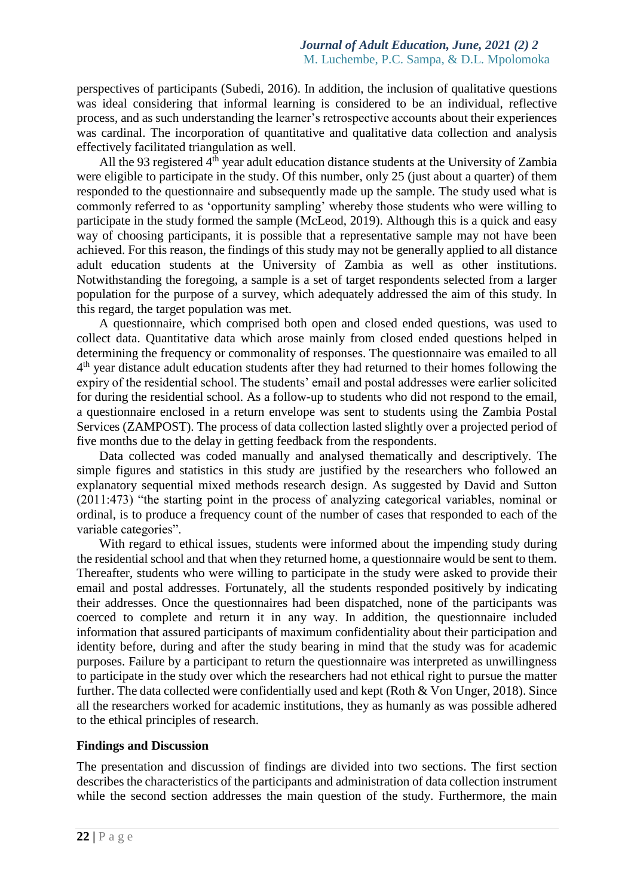perspectives of participants (Subedi, 2016). In addition, the inclusion of qualitative questions was ideal considering that informal learning is considered to be an individual, reflective process, and as such understanding the learner's retrospective accounts about their experiences was cardinal. The incorporation of quantitative and qualitative data collection and analysis effectively facilitated triangulation as well.

All the 93 registered  $4<sup>th</sup>$  year adult education distance students at the University of Zambia were eligible to participate in the study. Of this number, only 25 (just about a quarter) of them responded to the questionnaire and subsequently made up the sample. The study used what is commonly referred to as 'opportunity sampling' whereby those students who were willing to participate in the study formed the sample (McLeod, 2019). Although this is a quick and easy way of choosing participants, it is possible that a representative sample may not have been achieved. For this reason, the findings of this study may not be generally applied to all distance adult education students at the University of Zambia as well as other institutions. Notwithstanding the foregoing, a sample is a set of target respondents selected from a larger population for the purpose of a survey, which adequately addressed the aim of this study. In this regard, the target population was met.

A questionnaire, which comprised both open and closed ended questions, was used to collect data. Quantitative data which arose mainly from closed ended questions helped in determining the frequency or commonality of responses. The questionnaire was emailed to all 4<sup>th</sup> year distance adult education students after they had returned to their homes following the expiry of the residential school. The students' email and postal addresses were earlier solicited for during the residential school. As a follow-up to students who did not respond to the email, a questionnaire enclosed in a return envelope was sent to students using the Zambia Postal Services (ZAMPOST). The process of data collection lasted slightly over a projected period of five months due to the delay in getting feedback from the respondents.

Data collected was coded manually and analysed thematically and descriptively. The simple figures and statistics in this study are justified by the researchers who followed an explanatory sequential mixed methods research design. As suggested by David and Sutton (2011:473) "the starting point in the process of analyzing categorical variables, nominal or ordinal, is to produce a frequency count of the number of cases that responded to each of the variable categories".

With regard to ethical issues, students were informed about the impending study during the residential school and that when they returned home, a questionnaire would be sent to them. Thereafter, students who were willing to participate in the study were asked to provide their email and postal addresses. Fortunately, all the students responded positively by indicating their addresses. Once the questionnaires had been dispatched, none of the participants was coerced to complete and return it in any way. In addition, the questionnaire included information that assured participants of maximum confidentiality about their participation and identity before, during and after the study bearing in mind that the study was for academic purposes. Failure by a participant to return the questionnaire was interpreted as unwillingness to participate in the study over which the researchers had not ethical right to pursue the matter further. The data collected were confidentially used and kept (Roth & Von Unger, 2018). Since all the researchers worked for academic institutions, they as humanly as was possible adhered to the ethical principles of research.

#### **Findings and Discussion**

The presentation and discussion of findings are divided into two sections. The first section describes the characteristics of the participants and administration of data collection instrument while the second section addresses the main question of the study. Furthermore, the main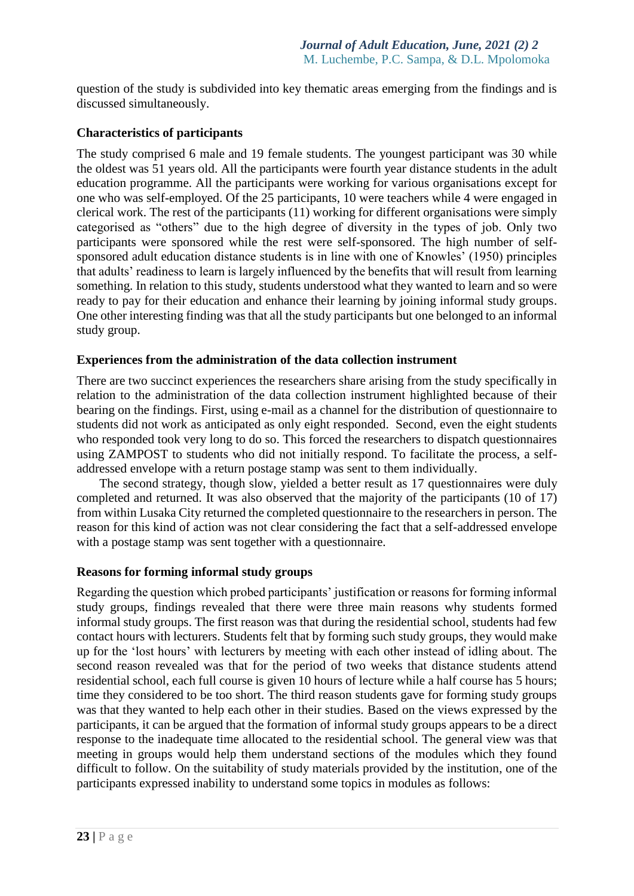question of the study is subdivided into key thematic areas emerging from the findings and is discussed simultaneously.

# **Characteristics of participants**

The study comprised 6 male and 19 female students. The youngest participant was 30 while the oldest was 51 years old. All the participants were fourth year distance students in the adult education programme. All the participants were working for various organisations except for one who was self-employed. Of the 25 participants, 10 were teachers while 4 were engaged in clerical work. The rest of the participants (11) working for different organisations were simply categorised as "others" due to the high degree of diversity in the types of job. Only two participants were sponsored while the rest were self-sponsored. The high number of selfsponsored adult education distance students is in line with one of Knowles' (1950) principles that adults' readiness to learn is largely influenced by the benefits that will result from learning something. In relation to this study, students understood what they wanted to learn and so were ready to pay for their education and enhance their learning by joining informal study groups. One other interesting finding was that all the study participants but one belonged to an informal study group.

# **Experiences from the administration of the data collection instrument**

There are two succinct experiences the researchers share arising from the study specifically in relation to the administration of the data collection instrument highlighted because of their bearing on the findings. First, using e-mail as a channel for the distribution of questionnaire to students did not work as anticipated as only eight responded. Second, even the eight students who responded took very long to do so. This forced the researchers to dispatch questionnaires using ZAMPOST to students who did not initially respond. To facilitate the process, a selfaddressed envelope with a return postage stamp was sent to them individually.

The second strategy, though slow, yielded a better result as 17 questionnaires were duly completed and returned. It was also observed that the majority of the participants (10 of 17) from within Lusaka City returned the completed questionnaire to the researchers in person. The reason for this kind of action was not clear considering the fact that a self-addressed envelope with a postage stamp was sent together with a questionnaire.

# **Reasons for forming informal study groups**

Regarding the question which probed participants' justification or reasons for forming informal study groups, findings revealed that there were three main reasons why students formed informal study groups. The first reason was that during the residential school, students had few contact hours with lecturers. Students felt that by forming such study groups, they would make up for the 'lost hours' with lecturers by meeting with each other instead of idling about. The second reason revealed was that for the period of two weeks that distance students attend residential school, each full course is given 10 hours of lecture while a half course has 5 hours; time they considered to be too short. The third reason students gave for forming study groups was that they wanted to help each other in their studies. Based on the views expressed by the participants, it can be argued that the formation of informal study groups appears to be a direct response to the inadequate time allocated to the residential school. The general view was that meeting in groups would help them understand sections of the modules which they found difficult to follow. On the suitability of study materials provided by the institution, one of the participants expressed inability to understand some topics in modules as follows: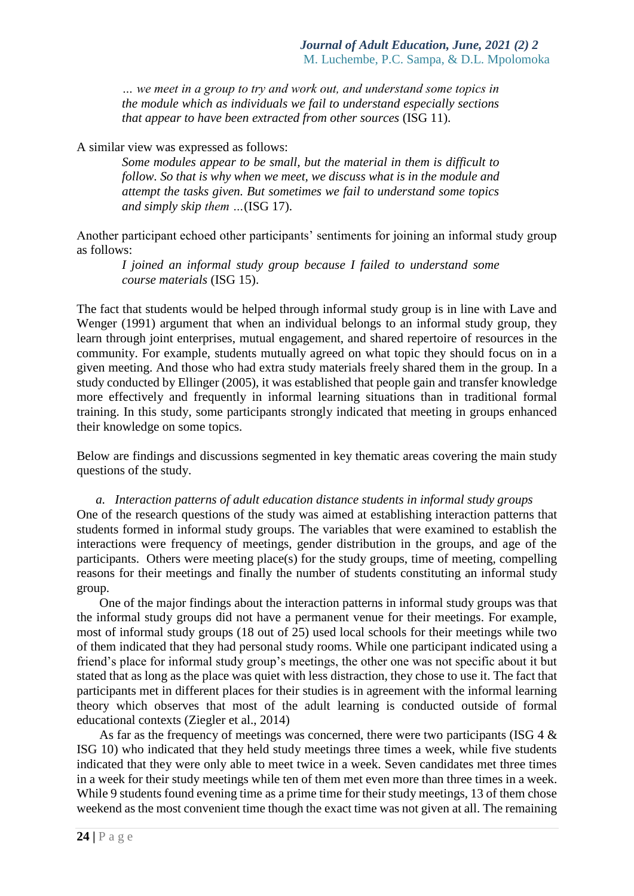*… we meet in a group to try and work out, and understand some topics in the module which as individuals we fail to understand especially sections that appear to have been extracted from other sources* (ISG 11).

A similar view was expressed as follows:

*Some modules appear to be small, but the material in them is difficult to follow. So that is why when we meet, we discuss what is in the module and attempt the tasks given. But sometimes we fail to understand some topics and simply skip them …*(ISG 17).

Another participant echoed other participants' sentiments for joining an informal study group as follows:

*I joined an informal study group because I failed to understand some course materials* (ISG 15).

The fact that students would be helped through informal study group is in line with Lave and Wenger (1991) argument that when an individual belongs to an informal study group, they learn through joint enterprises, mutual engagement, and shared repertoire of resources in the community. For example, students mutually agreed on what topic they should focus on in a given meeting. And those who had extra study materials freely shared them in the group. In a study conducted by Ellinger (2005), it was established that people gain and transfer knowledge more effectively and frequently in informal learning situations than in traditional formal training. In this study, some participants strongly indicated that meeting in groups enhanced their knowledge on some topics.

Below are findings and discussions segmented in key thematic areas covering the main study questions of the study.

*a. Interaction patterns of adult education distance students in informal study groups* One of the research questions of the study was aimed at establishing interaction patterns that students formed in informal study groups. The variables that were examined to establish the interactions were frequency of meetings, gender distribution in the groups, and age of the participants. Others were meeting place(s) for the study groups, time of meeting, compelling reasons for their meetings and finally the number of students constituting an informal study group.

One of the major findings about the interaction patterns in informal study groups was that the informal study groups did not have a permanent venue for their meetings. For example, most of informal study groups (18 out of 25) used local schools for their meetings while two of them indicated that they had personal study rooms. While one participant indicated using a friend's place for informal study group's meetings, the other one was not specific about it but stated that as long as the place was quiet with less distraction, they chose to use it. The fact that participants met in different places for their studies is in agreement with the informal learning theory which observes that most of the adult learning is conducted outside of formal educational contexts (Ziegler et al., 2014)

As far as the frequency of meetings was concerned, there were two participants (ISG 4 & ISG 10) who indicated that they held study meetings three times a week, while five students indicated that they were only able to meet twice in a week. Seven candidates met three times in a week for their study meetings while ten of them met even more than three times in a week. While 9 students found evening time as a prime time for their study meetings, 13 of them chose weekend as the most convenient time though the exact time was not given at all. The remaining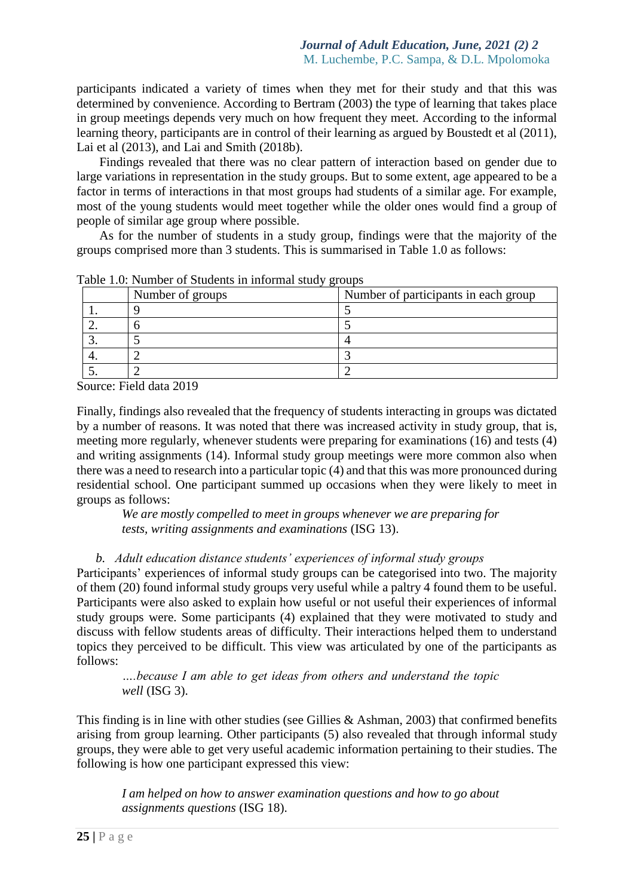participants indicated a variety of times when they met for their study and that this was determined by convenience. According to Bertram (2003) the type of learning that takes place in group meetings depends very much on how frequent they meet. According to the informal learning theory, participants are in control of their learning as argued by Boustedt et al (2011), Lai et al (2013), and Lai and Smith (2018b).

Findings revealed that there was no clear pattern of interaction based on gender due to large variations in representation in the study groups. But to some extent, age appeared to be a factor in terms of interactions in that most groups had students of a similar age. For example, most of the young students would meet together while the older ones would find a group of people of similar age group where possible.

As for the number of students in a study group, findings were that the majority of the groups comprised more than 3 students. This is summarised in Table 1.0 as follows:

| Number of groups | Number of participants in each group |
|------------------|--------------------------------------|
|                  |                                      |
|                  |                                      |
|                  |                                      |
|                  |                                      |
|                  |                                      |

Table 1.0: Number of Students in informal study groups

Source: Field data 2019

Finally, findings also revealed that the frequency of students interacting in groups was dictated by a number of reasons. It was noted that there was increased activity in study group, that is, meeting more regularly, whenever students were preparing for examinations (16) and tests (4) and writing assignments (14). Informal study group meetings were more common also when there was a need to research into a particular topic (4) and that this was more pronounced during residential school. One participant summed up occasions when they were likely to meet in groups as follows:

*We are mostly compelled to meet in groups whenever we are preparing for tests, writing assignments and examinations* (ISG 13).

*b. Adult education distance students' experiences of informal study groups*

Participants' experiences of informal study groups can be categorised into two. The majority of them (20) found informal study groups very useful while a paltry 4 found them to be useful. Participants were also asked to explain how useful or not useful their experiences of informal study groups were. Some participants (4) explained that they were motivated to study and discuss with fellow students areas of difficulty. Their interactions helped them to understand topics they perceived to be difficult. This view was articulated by one of the participants as follows:

*….because I am able to get ideas from others and understand the topic well* (ISG 3).

This finding is in line with other studies (see Gillies & Ashman, 2003) that confirmed benefits arising from group learning. Other participants (5) also revealed that through informal study groups, they were able to get very useful academic information pertaining to their studies. The following is how one participant expressed this view:

*I am helped on how to answer examination questions and how to go about assignments questions* (ISG 18).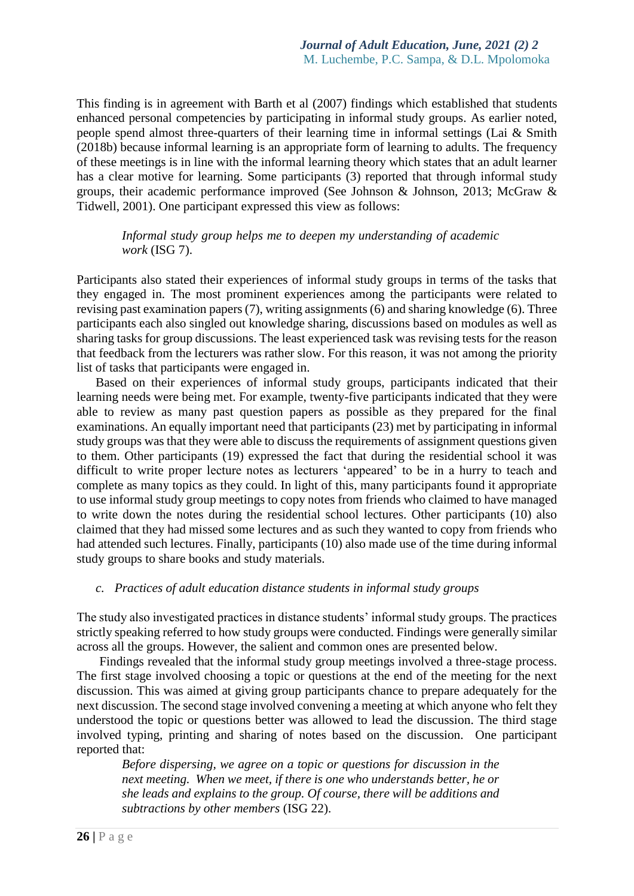This finding is in agreement with Barth et al (2007) findings which established that students enhanced personal competencies by participating in informal study groups. As earlier noted, people spend almost three-quarters of their learning time in informal settings (Lai & Smith (2018b) because informal learning is an appropriate form of learning to adults. The frequency of these meetings is in line with the informal learning theory which states that an adult learner has a clear motive for learning. Some participants (3) reported that through informal study groups, their academic performance improved (See Johnson & Johnson, 2013; McGraw & Tidwell, 2001). One participant expressed this view as follows:

*Informal study group helps me to deepen my understanding of academic work* (ISG 7).

Participants also stated their experiences of informal study groups in terms of the tasks that they engaged in. The most prominent experiences among the participants were related to revising past examination papers (7), writing assignments (6) and sharing knowledge (6). Three participants each also singled out knowledge sharing, discussions based on modules as well as sharing tasks for group discussions. The least experienced task was revising tests for the reason that feedback from the lecturers was rather slow. For this reason, it was not among the priority list of tasks that participants were engaged in.

Based on their experiences of informal study groups, participants indicated that their learning needs were being met. For example, twenty-five participants indicated that they were able to review as many past question papers as possible as they prepared for the final examinations. An equally important need that participants (23) met by participating in informal study groups was that they were able to discuss the requirements of assignment questions given to them. Other participants (19) expressed the fact that during the residential school it was difficult to write proper lecture notes as lecturers 'appeared' to be in a hurry to teach and complete as many topics as they could. In light of this, many participants found it appropriate to use informal study group meetings to copy notes from friends who claimed to have managed to write down the notes during the residential school lectures. Other participants (10) also claimed that they had missed some lectures and as such they wanted to copy from friends who had attended such lectures. Finally, participants (10) also made use of the time during informal study groups to share books and study materials.

#### *c. Practices of adult education distance students in informal study groups*

The study also investigated practices in distance students' informal study groups. The practices strictly speaking referred to how study groups were conducted. Findings were generally similar across all the groups. However, the salient and common ones are presented below.

Findings revealed that the informal study group meetings involved a three-stage process. The first stage involved choosing a topic or questions at the end of the meeting for the next discussion. This was aimed at giving group participants chance to prepare adequately for the next discussion. The second stage involved convening a meeting at which anyone who felt they understood the topic or questions better was allowed to lead the discussion. The third stage involved typing, printing and sharing of notes based on the discussion. One participant reported that:

*Before dispersing, we agree on a topic or questions for discussion in the next meeting. When we meet, if there is one who understands better, he or she leads and explains to the group. Of course, there will be additions and subtractions by other members* (ISG 22).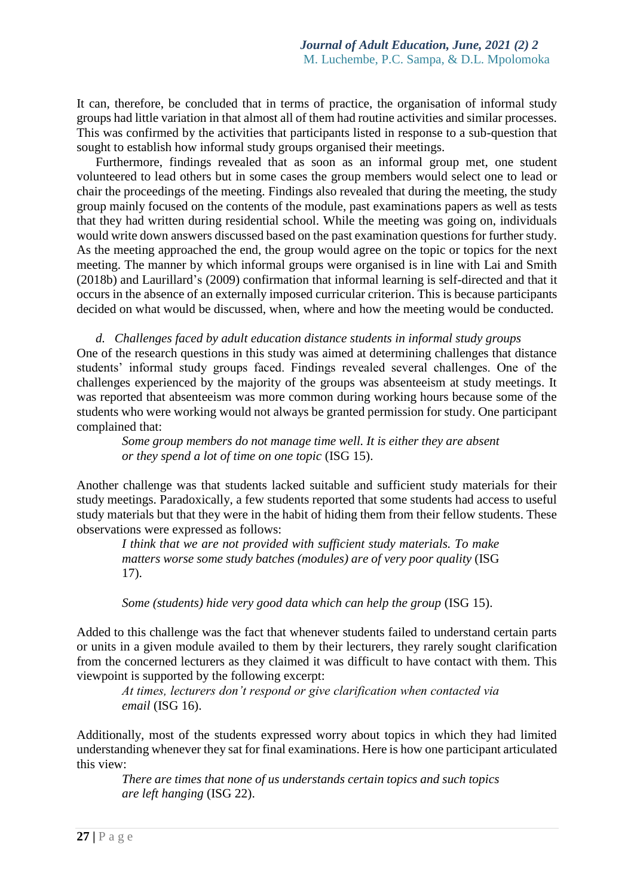It can, therefore, be concluded that in terms of practice, the organisation of informal study groups had little variation in that almost all of them had routine activities and similar processes. This was confirmed by the activities that participants listed in response to a sub-question that sought to establish how informal study groups organised their meetings.

Furthermore, findings revealed that as soon as an informal group met, one student volunteered to lead others but in some cases the group members would select one to lead or chair the proceedings of the meeting. Findings also revealed that during the meeting, the study group mainly focused on the contents of the module, past examinations papers as well as tests that they had written during residential school. While the meeting was going on, individuals would write down answers discussed based on the past examination questions for further study. As the meeting approached the end, the group would agree on the topic or topics for the next meeting. The manner by which informal groups were organised is in line with Lai and Smith (2018b) and Laurillard's (2009) confirmation that informal learning is self-directed and that it occurs in the absence of an externally imposed curricular criterion. This is because participants decided on what would be discussed, when, where and how the meeting would be conducted.

*d. Challenges faced by adult education distance students in informal study groups* One of the research questions in this study was aimed at determining challenges that distance students' informal study groups faced. Findings revealed several challenges. One of the challenges experienced by the majority of the groups was absenteeism at study meetings. It was reported that absenteeism was more common during working hours because some of the students who were working would not always be granted permission for study. One participant complained that:

*Some group members do not manage time well. It is either they are absent or they spend a lot of time on one topic* (ISG 15).

Another challenge was that students lacked suitable and sufficient study materials for their study meetings. Paradoxically, a few students reported that some students had access to useful study materials but that they were in the habit of hiding them from their fellow students. These observations were expressed as follows:

*I think that we are not provided with sufficient study materials. To make matters worse some study batches (modules) are of very poor quality (ISG* 17).

*Some (students) hide very good data which can help the group* (ISG 15).

Added to this challenge was the fact that whenever students failed to understand certain parts or units in a given module availed to them by their lecturers, they rarely sought clarification from the concerned lecturers as they claimed it was difficult to have contact with them. This viewpoint is supported by the following excerpt:

*At times, lecturers don't respond or give clarification when contacted via email* (ISG 16).

Additionally, most of the students expressed worry about topics in which they had limited understanding whenever they sat for final examinations. Here is how one participant articulated this view:

*There are times that none of us understands certain topics and such topics are left hanging* (ISG 22).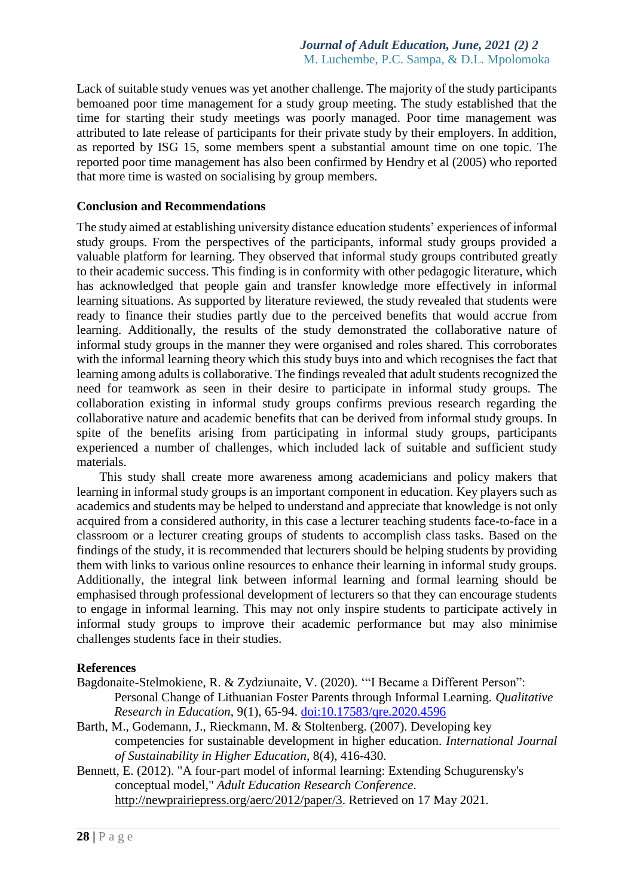Lack of suitable study venues was yet another challenge. The majority of the study participants bemoaned poor time management for a study group meeting. The study established that the time for starting their study meetings was poorly managed. Poor time management was attributed to late release of participants for their private study by their employers. In addition, as reported by ISG 15, some members spent a substantial amount time on one topic. The reported poor time management has also been confirmed by Hendry et al (2005) who reported that more time is wasted on socialising by group members.

## **Conclusion and Recommendations**

The study aimed at establishing university distance education students' experiences of informal study groups. From the perspectives of the participants, informal study groups provided a valuable platform for learning. They observed that informal study groups contributed greatly to their academic success. This finding is in conformity with other pedagogic literature, which has acknowledged that people gain and transfer knowledge more effectively in informal learning situations. As supported by literature reviewed, the study revealed that students were ready to finance their studies partly due to the perceived benefits that would accrue from learning. Additionally, the results of the study demonstrated the collaborative nature of informal study groups in the manner they were organised and roles shared. This corroborates with the informal learning theory which this study buys into and which recognises the fact that learning among adults is collaborative. The findings revealed that adult students recognized the need for teamwork as seen in their desire to participate in informal study groups. The collaboration existing in informal study groups confirms previous research regarding the collaborative nature and academic benefits that can be derived from informal study groups. In spite of the benefits arising from participating in informal study groups, participants experienced a number of challenges, which included lack of suitable and sufficient study materials.

This study shall create more awareness among academicians and policy makers that learning in informal study groups is an important component in education. Key players such as academics and students may be helped to understand and appreciate that knowledge is not only acquired from a considered authority, in this case a lecturer teaching students face-to-face in a classroom or a lecturer creating groups of students to accomplish class tasks. Based on the findings of the study, it is recommended that lecturers should be helping students by providing them with links to various online resources to enhance their learning in informal study groups. Additionally, the integral link between informal learning and formal learning should be emphasised through professional development of lecturers so that they can encourage students to engage in informal learning. This may not only inspire students to participate actively in informal study groups to improve their academic performance but may also minimise challenges students face in their studies.

## **References**

- Bagdonaite-Stelmokiene, R. & Zydziunaite, V. (2020). '"I Became a Different Person": Personal Change of Lithuanian Foster Parents through Informal Learning*. Qualitative Research in Education*, 9(1), 65-94. doi:10.17583/qre.2020.4596
- Barth, M., Godemann, J., Rieckmann, M. & Stoltenberg. (2007). Developing key competencies for sustainable development in higher education. *International Journal of Sustainability in Higher Education*, 8(4), 416-430.
- Bennett, E. (2012). "A four-part model of informal learning: Extending Schugurensky's conceptual model," *Adult Education Research Conference*. [http://newprairiepress.org/aerc/2012/paper/3.](http://newprairiepress.org/aerc/2012/paper/3) Retrieved on 17 May 2021.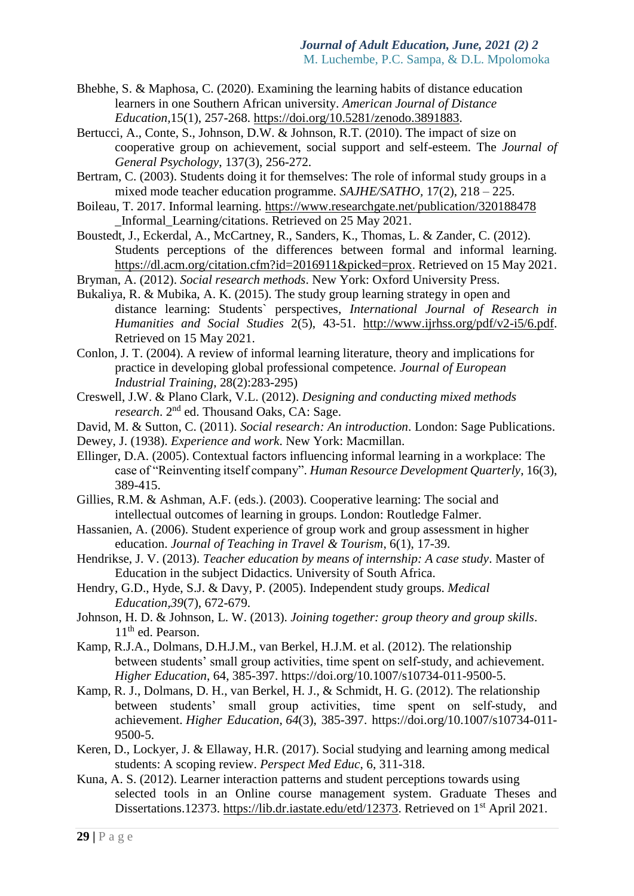- Bhebhe, S. & Maphosa, C. (2020). Examining the learning habits of distance education learners in one Southern African university. *American Journal of Distance Education,*15(1), 257-268. [https://doi.org/10.5281/zenodo.3891883.](https://doi.org/10.5281/zenodo.3891883)
- Bertucci, A., Conte, S., Johnson, D.W. & Johnson, R.T. (2010). The impact of size on cooperative group on achievement, social support and self-esteem. The *Journal of General Psychology*, 137(3), 256-272.
- Bertram, C. (2003). Students doing it for themselves: The role of informal study groups in a mixed mode teacher education programme. *SAJHE/SATHO,* 17(2), 218 – 225.
- Boileau, T. 2017. Informal learning.<https://www.researchgate.net/publication/320188478> \_Informal\_Learning/citations. Retrieved on 25 May 2021.
- Boustedt, J., Eckerdal, A., McCartney, R., Sanders, K., Thomas, L. & Zander, C. (2012). Students perceptions of the differences between formal and informal learning. [https://dl.acm.org/citation.cfm?id=2016911&picked=prox.](https://dl.acm.org/citation.cfm?id=2016911&picked=prox) Retrieved on 15 May 2021.
- Bryman, A. (2012). *Social research methods*. New York: Oxford University Press.
- Bukaliya, R. & Mubika, A. K. (2015). The study group learning strategy in open and distance learning: Students` perspectives*, International Journal of Research in Humanities and Social Studies* 2(5), 43-51. [http://www.ijrhss.org/pdf/v2-i5/6.pdf.](http://www.ijrhss.org/pdf/v2-i5/6.pdf) Retrieved on 15 May 2021.
- Conlon, J. T. (2004). A review of informal learning literature, theory and implications for practice in developing global professional competence. *Journal of European Industrial Training*, 28(2):283-295)
- Creswell, J.W. & Plano Clark, V.L. (2012). *Designing and conducting mixed methods*  research. 2<sup>nd</sup> ed. Thousand Oaks, CA: Sage.
- David, M. & Sutton, C. (2011). *Social research: An introduction*. London: Sage Publications.
- Dewey, J. (1938). *Experience and work*. New York: Macmillan.
- Ellinger, D.A. (2005). Contextual factors influencing informal learning in a workplace: The case of "Reinventing itself company". *Human Resource Development Quarterly*, 16(3), 389-415.
- Gillies, R.M. & Ashman, A.F. (eds.). (2003). Cooperative learning: The social and intellectual outcomes of learning in groups. London: Routledge Falmer.
- Hassanien, A. (2006). Student experience of group work and group assessment in higher education. *Journal of Teaching in Travel & Tourism*, 6(1), 17-39.
- Hendrikse, J. V. (2013). *Teacher education by means of internship: A case study*. Master of Education in the subject Didactics. University of South Africa.
- Hendry, G.D., Hyde, S.J. & Davy, P. (2005). Independent study groups. *Medical Education,39*(7), 672-679.
- Johnson, H. D. & Johnson, L. W. (2013). *Joining together: group theory and group skills*. 11<sup>th</sup> ed. Pearson.
- Kamp, R.J.A., Dolmans, D.H.J.M., van Berkel, H.J.M. et al. (2012). The relationship between students' small group activities, time spent on self-study, and achievement. *Higher Education*, 64, 385-397. https://doi.org/10.1007/s10734-011-9500-5.
- Kamp, R. J., Dolmans, D. H., van Berkel, H. J., & Schmidt, H. G. (2012). The relationship between students' small group activities, time spent on self-study, and achievement. *Higher Education*, *64*(3), 385-397. https://doi.org/10.1007/s10734-011- 9500-5.
- Keren, D., Lockyer, J. & Ellaway, H.R. (2017). Social studying and learning among medical students: A scoping review. *Perspect Med Educ*, 6, 311-318.
- Kuna, A. S. (2012). Learner interaction patterns and student perceptions towards using selected tools in an Online course management system. Graduate Theses and Dissertations.12373. [https://lib.dr.iastate.edu/etd/12373.](https://lib.dr.iastate.edu/etd/12373) Retrieved on 1<sup>st</sup> April 2021.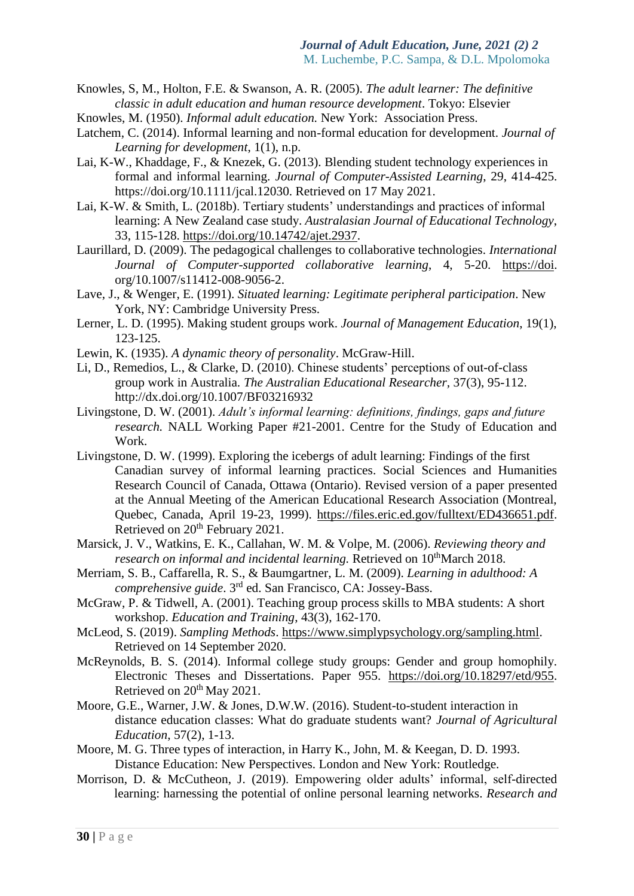Knowles, S, M., Holton, F.E. & Swanson, A. R. (2005). *The adult learner: The definitive classic in adult education and human resource development*. Tokyo: Elsevier

- Knowles, M. (1950). *Informal adult education.* New York: Association Press.
- Latchem, C. (2014). Informal learning and non-formal education for development. *Journal of Learning for development*, 1(1), n.p.
- Lai, K-W., Khaddage, F., & Knezek, G. (2013). Blending student technology experiences in formal and informal learning. *Journal of Computer-Assisted Learning*, 29, 414-425. https://doi.org/10.1111/jcal.12030. Retrieved on 17 May 2021.
- Lai, K-W. & Smith, L. (2018b). Tertiary students' understandings and practices of informal learning: A New Zealand case study. *Australasian Journal of Educational Technology*, 33, 115-128. [https://doi.org/10.14742/ajet.2937.](https://doi.org/10.14742/ajet.2937)
- Laurillard, D. (2009). The pedagogical challenges to collaborative technologies. *International Journal of Computer-supported collaborative learning*, 4, 5-20. [https://doi.](https://doi/) org/10.1007/s11412-008-9056-2.
- Lave, J., & Wenger, E. (1991). *Situated learning: Legitimate peripheral participation*. New York, NY: Cambridge University Press.
- Lerner, L. D. (1995). Making student groups work. *Journal of Management Education*, 19(1), 123-125.
- Lewin, K. (1935). *A dynamic theory of personality*. McGraw-Hill.
- Li, D., Remedios, L., & Clarke, D. (2010). Chinese students' perceptions of out-of-class group work in Australia. *The Australian Educational Researcher,* 37(3), 95-112. http://dx.doi.org/10.1007/BF03216932
- Livingstone, D. W. (2001). *Adult's informal learning: definitions, findings, gaps and future research.* NALL Working Paper #21-2001. Centre for the Study of Education and Work.
- Livingstone, D. W. (1999). Exploring the icebergs of adult learning: Findings of the first Canadian survey of informal learning practices. Social Sciences and Humanities Research Council of Canada, Ottawa (Ontario). Revised version of a paper presented at the Annual Meeting of the American Educational Research Association (Montreal, Quebec, Canada, April 19-23, 1999). [https://files.eric.ed.gov/fulltext/ED436651.pdf.](https://files.eric.ed.gov/fulltext/ED436651.pdf) Retrieved on 20<sup>th</sup> February 2021.
- Marsick, J. V., Watkins, E. K., Callahan, W. M. & Volpe, M. (2006). *Reviewing theory and research on informal and incidental learning.* Retrieved on 10<sup>th</sup>March 2018.
- Merriam, S. B., Caffarella, R. S., & Baumgartner, L. M. (2009). *Learning in adulthood: A*  comprehensive guide. 3<sup>rd</sup> ed. San Francisco, CA: Jossey-Bass.
- McGraw, P. & Tidwell, A. (2001). Teaching group process skills to MBA students: A short workshop. *Education and Training*, 43(3), 162-170.
- McLeod, S. (2019). *Sampling Methods*. [https://www.simplypsychology.org/sampling.html.](https://www.simplypsychology.org/sampling.html) Retrieved on 14 September 2020.
- McReynolds, B. S. (2014). Informal college study groups: Gender and group homophily. Electronic Theses and Dissertations. Paper 955. [https://doi.org/10.18297/etd/955.](https://doi.org/10.18297/etd/955) Retrieved on  $20<sup>th</sup>$  May 2021.
- Moore, G.E., Warner, J.W. & Jones, D.W.W. (2016). Student-to-student interaction in distance education classes: What do graduate students want? *Journal of Agricultural Education*, 57(2), 1-13.
- Moore, M. G. Three types of interaction, in Harry K., John, M. & Keegan, D. D. 1993. Distance Education: New Perspectives. London and New York: Routledge.
- Morrison, D. & McCutheon, J. (2019). Empowering older adults' informal, self-directed learning: harnessing the potential of online personal learning networks. *Research and*